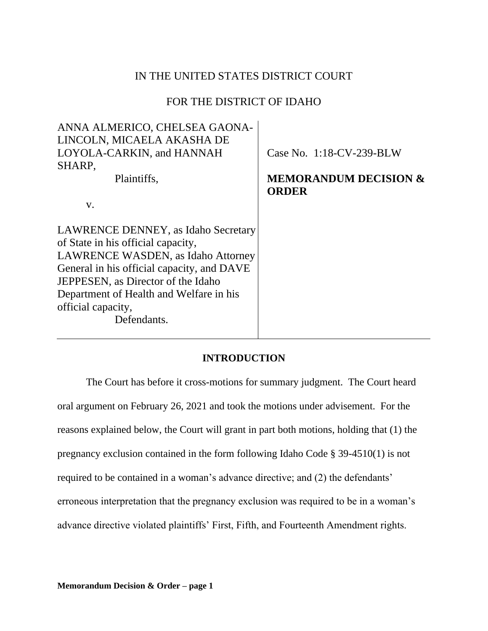# IN THE UNITED STATES DISTRICT COURT

# FOR THE DISTRICT OF IDAHO

| ANNA ALMERICO, CHELSEA GAONA-              |                                  |
|--------------------------------------------|----------------------------------|
| LINCOLN, MICAELA AKASHA DE                 |                                  |
| LOYOLA-CARKIN, and HANNAH                  | Case No. 1:18-CV-239-BLW         |
| SHARP,                                     |                                  |
| Plaintiffs,                                | <b>MEMORANDUM DECISION &amp;</b> |
|                                            | <b>ORDER</b>                     |
| $V_{\star}$                                |                                  |
|                                            |                                  |
| LAWRENCE DENNEY, as Idaho Secretary        |                                  |
| of State in his official capacity,         |                                  |
| LAWRENCE WASDEN, as Idaho Attorney         |                                  |
| General in his official capacity, and DAVE |                                  |
| JEPPESEN, as Director of the Idaho         |                                  |
| Department of Health and Welfare in his    |                                  |
| official capacity,                         |                                  |
| Defendants.                                |                                  |
|                                            |                                  |

# **INTRODUCTION**

The Court has before it cross-motions for summary judgment. The Court heard oral argument on February 26, 2021 and took the motions under advisement. For the reasons explained below, the Court will grant in part both motions, holding that (1) the pregnancy exclusion contained in the form following Idaho Code § 39-4510(1) is not required to be contained in a woman's advance directive; and (2) the defendants' erroneous interpretation that the pregnancy exclusion was required to be in a woman's advance directive violated plaintiffs' First, Fifth, and Fourteenth Amendment rights.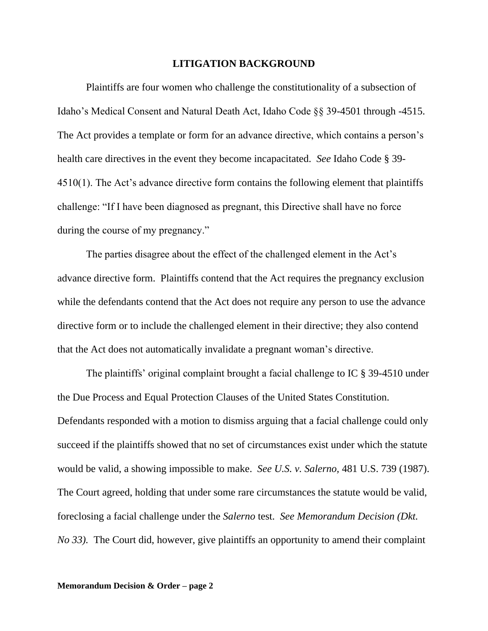## **LITIGATION BACKGROUND**

Plaintiffs are four women who challenge the constitutionality of a subsection of Idaho's Medical Consent and Natural Death Act, Idaho Code §§ 39-4501 through -4515. The Act provides a template or form for an advance directive, which contains a person's health care directives in the event they become incapacitated. *See* Idaho Code § 39- 4510(1). The Act's advance directive form contains the following element that plaintiffs challenge: "If I have been diagnosed as pregnant, this Directive shall have no force during the course of my pregnancy."

The parties disagree about the effect of the challenged element in the Act's advance directive form. Plaintiffs contend that the Act requires the pregnancy exclusion while the defendants contend that the Act does not require any person to use the advance directive form or to include the challenged element in their directive; they also contend that the Act does not automatically invalidate a pregnant woman's directive.

The plaintiffs' original complaint brought a facial challenge to IC § 39-4510 under the Due Process and Equal Protection Clauses of the United States Constitution. Defendants responded with a motion to dismiss arguing that a facial challenge could only succeed if the plaintiffs showed that no set of circumstances exist under which the statute would be valid, a showing impossible to make. *See U.S. v. Salerno,* 481 U.S. 739 (1987). The Court agreed, holding that under some rare circumstances the statute would be valid, foreclosing a facial challenge under the *Salerno* test. *See Memorandum Decision (Dkt. No 33*). The Court did, however, give plaintiffs an opportunity to amend their complaint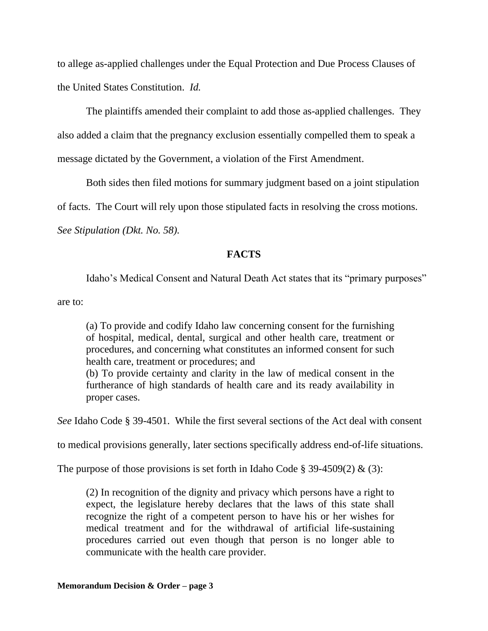to allege as-applied challenges under the Equal Protection and Due Process Clauses of the United States Constitution. *Id.*

The plaintiffs amended their complaint to add those as-applied challenges. They also added a claim that the pregnancy exclusion essentially compelled them to speak a message dictated by the Government, a violation of the First Amendment.

Both sides then filed motions for summary judgment based on a joint stipulation

of facts. The Court will rely upon those stipulated facts in resolving the cross motions.

*See Stipulation (Dkt. No. 58).*

# **FACTS**

Idaho's Medical Consent and Natural Death Act states that its "primary purposes"

are to:

(a) To provide and codify Idaho law concerning consent for the furnishing of hospital, medical, dental, surgical and other health care, treatment or procedures, and concerning what constitutes an informed consent for such health care, treatment or procedures; and

(b) To provide certainty and clarity in the law of medical consent in the furtherance of high standards of health care and its ready availability in proper cases.

*See* Idaho Code § 39-4501. While the first several sections of the Act deal with consent

to medical provisions generally, later sections specifically address end-of-life situations.

The purpose of those provisions is set forth in Idaho Code § 39-4509(2)  $\&$  (3):

(2) In recognition of the dignity and privacy which persons have a right to expect, the legislature hereby declares that the laws of this state shall recognize the right of a competent person to have his or her wishes for medical treatment and for the withdrawal of artificial life-sustaining procedures carried out even though that person is no longer able to communicate with the health care provider.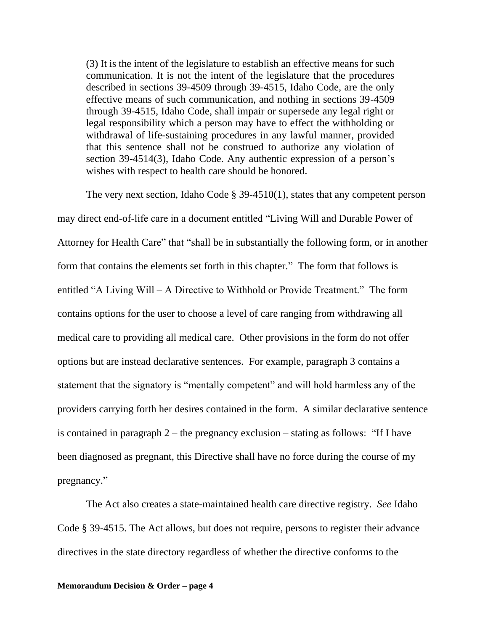(3) It is the intent of the legislature to establish an effective means for such communication. It is not the intent of the legislature that the procedures described in sections 39-4509 through 39-4515, Idaho Code, are the only effective means of such communication, and nothing in sections 39-4509 through 39-4515, Idaho Code, shall impair or supersede any legal right or legal responsibility which a person may have to effect the withholding or withdrawal of life-sustaining procedures in any lawful manner, provided that this sentence shall not be construed to authorize any violation of section 39-4514(3), Idaho Code. Any authentic expression of a person's wishes with respect to health care should be honored.

The very next section, Idaho Code § 39-4510(1), states that any competent person may direct end-of-life care in a document entitled "Living Will and Durable Power of Attorney for Health Care" that "shall be in substantially the following form, or in another form that contains the elements set forth in this chapter." The form that follows is entitled "A Living Will – A Directive to Withhold or Provide Treatment." The form contains options for the user to choose a level of care ranging from withdrawing all medical care to providing all medical care. Other provisions in the form do not offer options but are instead declarative sentences. For example, paragraph 3 contains a statement that the signatory is "mentally competent" and will hold harmless any of the providers carrying forth her desires contained in the form. A similar declarative sentence is contained in paragraph 2 – the pregnancy exclusion – stating as follows: "If I have been diagnosed as pregnant, this Directive shall have no force during the course of my pregnancy."

The Act also creates a state-maintained health care directive registry. *See* Idaho Code § 39-4515. The Act allows, but does not require, persons to register their advance directives in the state directory regardless of whether the directive conforms to the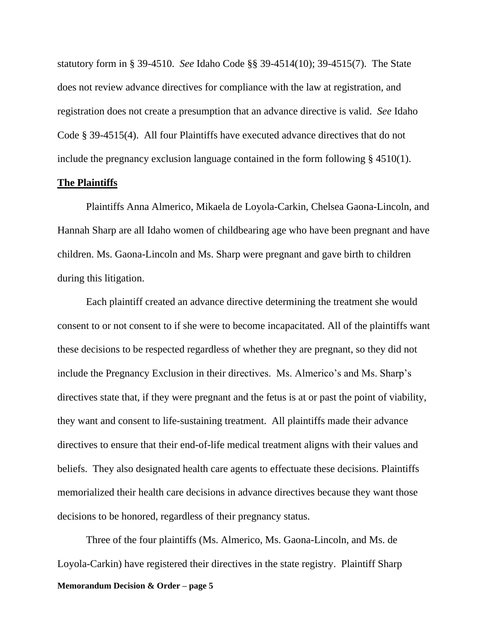statutory form in § 39-4510. *See* Idaho Code §§ 39-4514(10); 39-4515(7). The State does not review advance directives for compliance with the law at registration, and registration does not create a presumption that an advance directive is valid. *See* Idaho Code § 39-4515(4). All four Plaintiffs have executed advance directives that do not include the pregnancy exclusion language contained in the form following § 4510(1).

## **The Plaintiffs**

Plaintiffs Anna Almerico, Mikaela de Loyola-Carkin, Chelsea Gaona-Lincoln, and Hannah Sharp are all Idaho women of childbearing age who have been pregnant and have children. Ms. Gaona-Lincoln and Ms. Sharp were pregnant and gave birth to children during this litigation.

Each plaintiff created an advance directive determining the treatment she would consent to or not consent to if she were to become incapacitated. All of the plaintiffs want these decisions to be respected regardless of whether they are pregnant, so they did not include the Pregnancy Exclusion in their directives. Ms. Almerico's and Ms. Sharp's directives state that, if they were pregnant and the fetus is at or past the point of viability, they want and consent to life-sustaining treatment. All plaintiffs made their advance directives to ensure that their end-of-life medical treatment aligns with their values and beliefs. They also designated health care agents to effectuate these decisions. Plaintiffs memorialized their health care decisions in advance directives because they want those decisions to be honored, regardless of their pregnancy status.

**Memorandum Decision & Order – page 5** Three of the four plaintiffs (Ms. Almerico, Ms. Gaona-Lincoln, and Ms. de Loyola-Carkin) have registered their directives in the state registry. Plaintiff Sharp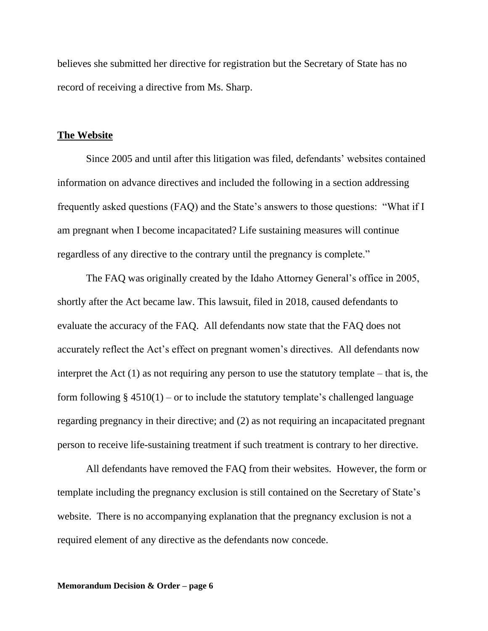believes she submitted her directive for registration but the Secretary of State has no record of receiving a directive from Ms. Sharp.

## **The Website**

Since 2005 and until after this litigation was filed, defendants' websites contained information on advance directives and included the following in a section addressing frequently asked questions (FAQ) and the State's answers to those questions: "What if I am pregnant when I become incapacitated? Life sustaining measures will continue regardless of any directive to the contrary until the pregnancy is complete."

The FAQ was originally created by the Idaho Attorney General's office in 2005, shortly after the Act became law. This lawsuit, filed in 2018, caused defendants to evaluate the accuracy of the FAQ. All defendants now state that the FAQ does not accurately reflect the Act's effect on pregnant women's directives. All defendants now interpret the Act  $(1)$  as not requiring any person to use the statutory template – that is, the form following  $\S$  4510(1) – or to include the statutory template's challenged language regarding pregnancy in their directive; and (2) as not requiring an incapacitated pregnant person to receive life-sustaining treatment if such treatment is contrary to her directive.

All defendants have removed the FAQ from their websites. However, the form or template including the pregnancy exclusion is still contained on the Secretary of State's website. There is no accompanying explanation that the pregnancy exclusion is not a required element of any directive as the defendants now concede.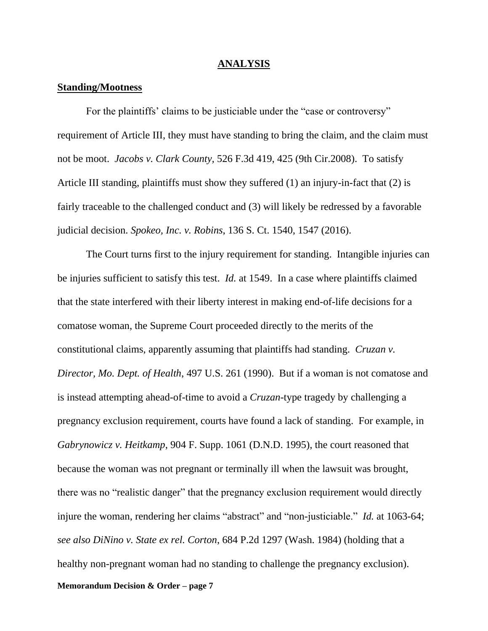#### **ANALYSIS**

## **Standing/Mootness**

For the plaintiffs' claims to be justiciable under the "case or controversy" requirement of Article III, they must have standing to bring the claim, and the claim must not be moot. *Jacobs v. Clark County,* 526 F.3d 419, 425 (9th Cir.2008). To satisfy Article III standing, plaintiffs must show they suffered (1) an injury-in-fact that (2) is fairly traceable to the challenged conduct and (3) will likely be redressed by a favorable judicial decision. *Spokeo, Inc. v. Robins*, 136 S. Ct. 1540, 1547 (2016).

**Memorandum Decision & Order – page 7** The Court turns first to the injury requirement for standing. Intangible injuries can be injuries sufficient to satisfy this test. *Id.* at 1549. In a case where plaintiffs claimed that the state interfered with their liberty interest in making end-of-life decisions for a comatose woman, the Supreme Court proceeded directly to the merits of the constitutional claims, apparently assuming that plaintiffs had standing. *Cruzan v. Director, Mo. Dept. of Health*, 497 U.S. 261 (1990). But if a woman is not comatose and is instead attempting ahead-of-time to avoid a *Cruzan-*type tragedy by challenging a pregnancy exclusion requirement, courts have found a lack of standing. For example, in *Gabrynowicz v. Heitkamp*, 904 F. Supp. 1061 (D.N.D. 1995), the court reasoned that because the woman was not pregnant or terminally ill when the lawsuit was brought, there was no "realistic danger" that the pregnancy exclusion requirement would directly injure the woman, rendering her claims "abstract" and "non-justiciable." *Id.* at 1063-64; *see also DiNino v. State ex rel. Corton*, 684 P.2d 1297 (Wash. 1984) (holding that a healthy non-pregnant woman had no standing to challenge the pregnancy exclusion).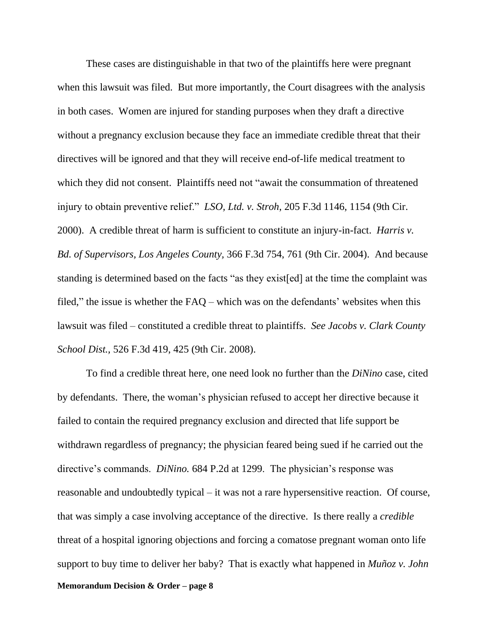These cases are distinguishable in that two of the plaintiffs here were pregnant when this lawsuit was filed. But more importantly, the Court disagrees with the analysis in both cases. Women are injured for standing purposes when they draft a directive without a pregnancy exclusion because they face an immediate credible threat that their directives will be ignored and that they will receive end-of-life medical treatment to which they did not consent. Plaintiffs need not "await the consummation of threatened injury to obtain preventive relief." *LSO, Ltd. v. Stroh*, 205 F.3d 1146, 1154 (9th Cir. 2000). A credible threat of harm is sufficient to constitute an injury-in-fact. *Harris v. Bd. of Supervisors, Los Angeles County,* 366 F.3d 754, 761 (9th Cir. 2004). And because standing is determined based on the facts "as they exist[ed] at the time the complaint was filed," the issue is whether the  $FAQ$  – which was on the defendants' websites when this lawsuit was filed – constituted a credible threat to plaintiffs. *See Jacobs v. Clark County School Dist.,* 526 F.3d 419, 425 (9th Cir. 2008).

**Memorandum Decision & Order – page 8** To find a credible threat here, one need look no further than the *DiNino* case, cited by defendants. There, the woman's physician refused to accept her directive because it failed to contain the required pregnancy exclusion and directed that life support be withdrawn regardless of pregnancy; the physician feared being sued if he carried out the directive's commands. *DiNino.* 684 P.2d at 1299. The physician's response was reasonable and undoubtedly typical – it was not a rare hypersensitive reaction. Of course, that was simply a case involving acceptance of the directive. Is there really a *credible*  threat of a hospital ignoring objections and forcing a comatose pregnant woman onto life support to buy time to deliver her baby? That is exactly what happened in *Muñoz v. John*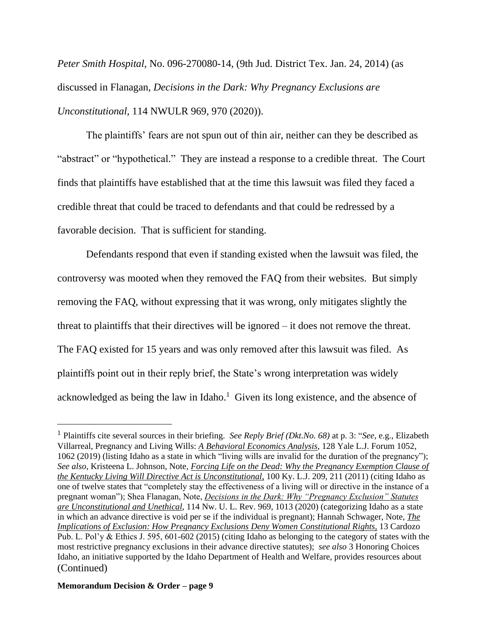*Peter Smith Hospital,* No. 096-270080-14, (9th Jud. District Tex. Jan. 24, 2014) (as discussed in Flanagan, *Decisions in the Dark: Why Pregnancy Exclusions are Unconstitutional,* 114 NWULR 969, 970 (2020)).

The plaintiffs' fears are not spun out of thin air, neither can they be described as "abstract" or "hypothetical." They are instead a response to a credible threat. The Court finds that plaintiffs have established that at the time this lawsuit was filed they faced a credible threat that could be traced to defendants and that could be redressed by a favorable decision. That is sufficient for standing.

Defendants respond that even if standing existed when the lawsuit was filed, the controversy was mooted when they removed the FAQ from their websites. But simply removing the FAQ, without expressing that it was wrong, only mitigates slightly the threat to plaintiffs that their directives will be ignored – it does not remove the threat. The FAQ existed for 15 years and was only removed after this lawsuit was filed. As plaintiffs point out in their reply brief, the State's wrong interpretation was widely acknowledged as being the law in Idaho. $<sup>1</sup>$  Given its long existence, and the absence of</sup>

## **Memorandum Decision & Order – page 9**

<sup>1</sup> Plaintiffs cite several sources in their briefing. *See Reply Brief (Dkt.No. 68)* at p. 3: "*See*, e.g., Elizabeth Villarreal, Pregnancy and Living Wills: *A Behavioral Economics Analysis*, 128 Yale L.J. Forum 1052, 1062 (2019) (listing Idaho as a state in which "living wills are invalid for the duration of the pregnancy"); *See also*, Kristeena L. Johnson, Note, *Forcing Life on the Dead: Why the Pregnancy Exemption Clause of the Kentucky Living Will Directive Act is Unconstitutional,* 100 Ky. L.J. 209, 211 (2011) (citing Idaho as one of twelve states that "completely stay the effectiveness of a living will or directive in the instance of a pregnant woman"); Shea Flanagan, Note, *Decisions in the Dark: Why "Pregnancy Exclusion" Statutes are Unconstitutional and Unethical*, 114 Nw. U. L. Rev. 969, 1013 (2020) (categorizing Idaho as a state in which an advance directive is void per se if the individual is pregnant); Hannah Schwager, Note, *The Implications of Exclusion: How Pregnancy Exclusions Deny Women Constitutional Rights,* 13 Cardozo Pub. L. Pol'y & Ethics J. 595, 601-602 (2015) (citing Idaho as belonging to the category of states with the most restrictive pregnancy exclusions in their advance directive statutes); *see also* 3 Honoring Choices Idaho, an initiative supported by the Idaho Department of Health and Welfare, provides resources about (Continued)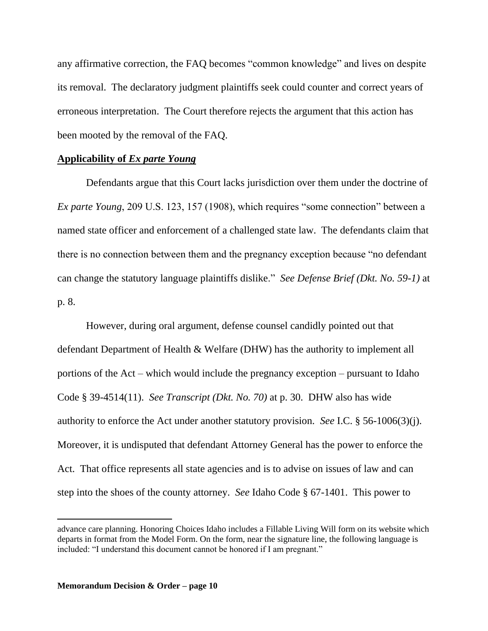any affirmative correction, the FAQ becomes "common knowledge" and lives on despite its removal. The declaratory judgment plaintiffs seek could counter and correct years of erroneous interpretation. The Court therefore rejects the argument that this action has been mooted by the removal of the FAQ.

# **Applicability of** *Ex parte Young*

Defendants argue that this Court lacks jurisdiction over them under the doctrine of *Ex parte Young*, 209 U.S. 123, 157 (1908), which requires "some connection" between a named state officer and enforcement of a challenged state law. The defendants claim that there is no connection between them and the pregnancy exception because "no defendant can change the statutory language plaintiffs dislike." *See Defense Brief (Dkt. No. 59-1)* at p. 8.

However, during oral argument, defense counsel candidly pointed out that defendant Department of Health & Welfare (DHW) has the authority to implement all portions of the Act – which would include the pregnancy exception – pursuant to Idaho Code § 39-4514(11). *See Transcript (Dkt. No. 70)* at p. 30. DHW also has wide authority to enforce the Act under another statutory provision. *See* I.C. § 56-1006(3)(j). Moreover, it is undisputed that defendant Attorney General has the power to enforce the Act. That office represents all state agencies and is to advise on issues of law and can step into the shoes of the county attorney. *See* Idaho Code § 67-1401. This power to

advance care planning. Honoring Choices Idaho includes a Fillable Living Will form on its website which departs in format from the Model Form. On the form, near the signature line, the following language is included: "I understand this document cannot be honored if I am pregnant."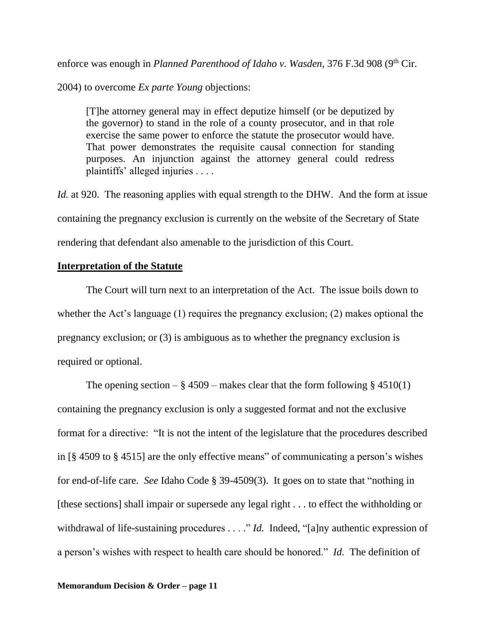enforce was enough in *Planned Parenthood of Idaho v. Wasden*, 376 F.3d 908 (9<sup>th</sup> Cir.

2004) to overcome *Ex parte Young* objections:

[T]he attorney general may in effect deputize himself (or be deputized by the governor) to stand in the role of a county prosecutor, and in that role exercise the same power to enforce the statute the prosecutor would have. That power demonstrates the requisite causal connection for standing purposes. An injunction against the attorney general could redress plaintiffs' alleged injuries . . . .

*Id.* at 920. The reasoning applies with equal strength to the DHW. And the form at issue containing the pregnancy exclusion is currently on the website of the Secretary of State rendering that defendant also amenable to the jurisdiction of this Court.

# **Interpretation of the Statute**

The Court will turn next to an interpretation of the Act. The issue boils down to whether the Act's language (1) requires the pregnancy exclusion; (2) makes optional the pregnancy exclusion; or (3) is ambiguous as to whether the pregnancy exclusion is required or optional.

The opening section –  $\S 4509$  – makes clear that the form following  $\S 4510(1)$ containing the pregnancy exclusion is only a suggested format and not the exclusive format for a directive: "It is not the intent of the legislature that the procedures described in [§ 4509 to § 4515] are the only effective means" of communicating a person's wishes for end-of-life care. *See* Idaho Code § 39-4509(3). It goes on to state that "nothing in [these sections] shall impair or supersede any legal right . . . to effect the withholding or withdrawal of life-sustaining procedures . . . ." *Id.* Indeed, "[a]ny authentic expression of a person's wishes with respect to health care should be honored." *Id.* The definition of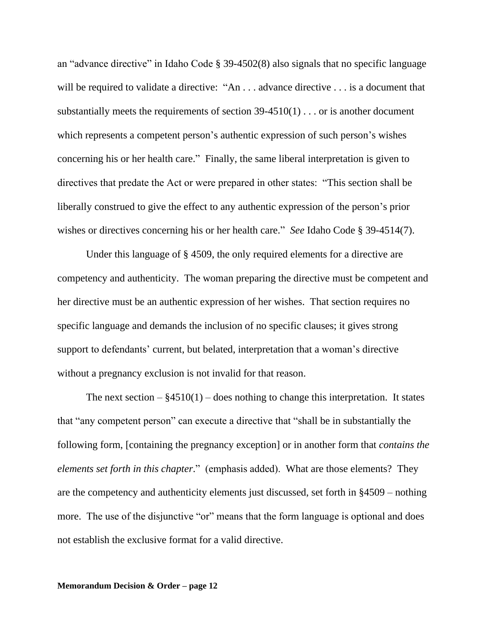an "advance directive" in Idaho Code § 39-4502(8) also signals that no specific language will be required to validate a directive: "An ... advance directive ... is a document that substantially meets the requirements of section 39-4510(1) . . . or is another document which represents a competent person's authentic expression of such person's wishes concerning his or her health care." Finally, the same liberal interpretation is given to directives that predate the Act or were prepared in other states: "This section shall be liberally construed to give the effect to any authentic expression of the person's prior wishes or directives concerning his or her health care." *See* Idaho Code § 39-4514(7).

Under this language of § 4509, the only required elements for a directive are competency and authenticity. The woman preparing the directive must be competent and her directive must be an authentic expression of her wishes. That section requires no specific language and demands the inclusion of no specific clauses; it gives strong support to defendants' current, but belated, interpretation that a woman's directive without a pregnancy exclusion is not invalid for that reason.

The next section  $-\frac{84510(1)}{-}$  does nothing to change this interpretation. It states that "any competent person" can execute a directive that "shall be in substantially the following form, [containing the pregnancy exception] or in another form that *contains the elements set forth in this chapter*." (emphasis added). What are those elements? They are the competency and authenticity elements just discussed, set forth in §4509 – nothing more. The use of the disjunctive "or" means that the form language is optional and does not establish the exclusive format for a valid directive.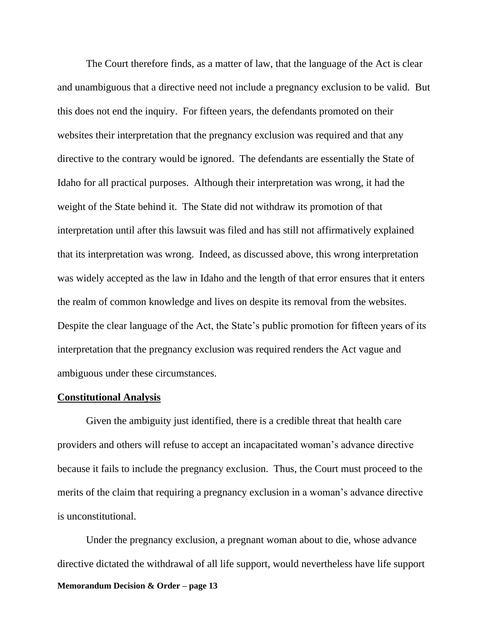The Court therefore finds, as a matter of law, that the language of the Act is clear and unambiguous that a directive need not include a pregnancy exclusion to be valid. But this does not end the inquiry. For fifteen years, the defendants promoted on their websites their interpretation that the pregnancy exclusion was required and that any directive to the contrary would be ignored. The defendants are essentially the State of Idaho for all practical purposes. Although their interpretation was wrong, it had the weight of the State behind it. The State did not withdraw its promotion of that interpretation until after this lawsuit was filed and has still not affirmatively explained that its interpretation was wrong. Indeed, as discussed above, this wrong interpretation was widely accepted as the law in Idaho and the length of that error ensures that it enters the realm of common knowledge and lives on despite its removal from the websites. Despite the clear language of the Act, the State's public promotion for fifteen years of its interpretation that the pregnancy exclusion was required renders the Act vague and ambiguous under these circumstances.

## **Constitutional Analysis**

 Given the ambiguity just identified, there is a credible threat that health care providers and others will refuse to accept an incapacitated woman's advance directive because it fails to include the pregnancy exclusion. Thus, the Court must proceed to the merits of the claim that requiring a pregnancy exclusion in a woman's advance directive is unconstitutional.

**Memorandum Decision & Order – page 13** Under the pregnancy exclusion, a pregnant woman about to die, whose advance directive dictated the withdrawal of all life support, would nevertheless have life support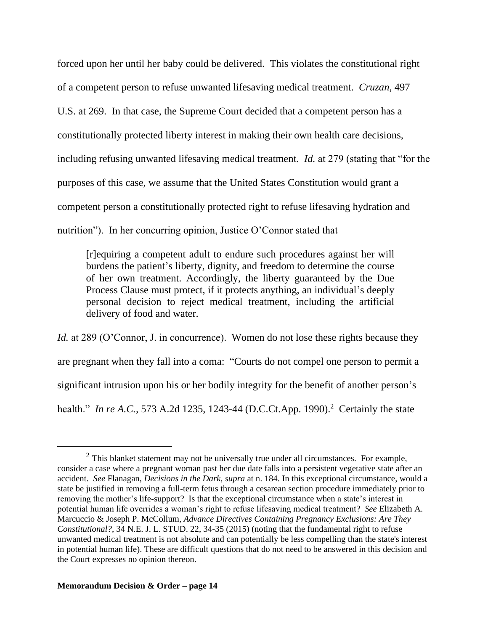forced upon her until her baby could be delivered. This violates the constitutional right of a competent person to refuse unwanted lifesaving medical treatment. *Cruzan,* 497 U.S. at 269. In that case, the Supreme Court decided that a competent person has a constitutionally protected liberty interest in making their own health care decisions, including refusing unwanted lifesaving medical treatment. *Id.* at 279 (stating that "for the purposes of this case, we assume that the United States Constitution would grant a competent person a constitutionally protected right to refuse lifesaving hydration and nutrition"). In her concurring opinion, Justice O'Connor stated that

[r]equiring a competent adult to endure such procedures against her will burdens the patient's liberty, dignity, and freedom to determine the course of her own treatment. Accordingly, the liberty guaranteed by the Due Process Clause must protect, if it protects anything, an individual's deeply personal decision to reject medical treatment, including the artificial delivery of food and water.

*Id.* at 289 (O'Connor, J. in concurrence). Women do not lose these rights because they are pregnant when they fall into a coma: "Courts do not compel one person to permit a significant intrusion upon his or her bodily integrity for the benefit of another person's health." *In re A.C.*, 573 A.2d 1235, 1243-44 (D.C.Ct.App. 1990).<sup>2</sup> Certainly the state

 $2$  This blanket statement may not be universally true under all circumstances. For example, consider a case where a pregnant woman past her due date falls into a persistent vegetative state after an accident. *See* Flanagan, *Decisions in the Dark, supra* at n. 184. In this exceptional circumstance, would a state be justified in removing a full-term fetus through a cesarean section procedure immediately prior to removing the mother's life-support? Is that the exceptional circumstance when a state's interest in potential human life overrides a woman's right to refuse lifesaving medical treatment? *See* Elizabeth A. Marcuccio & Joseph P. McCollum, *Advance Directives Containing Pregnancy Exclusions: Are They Constitutional?*, 34 N.E. J. L. STUD. 22, 34-35 (2015) (noting that the fundamental right to refuse unwanted medical treatment is not absolute and can potentially be less compelling than the state's interest in potential human life). These are difficult questions that do not need to be answered in this decision and the Court expresses no opinion thereon.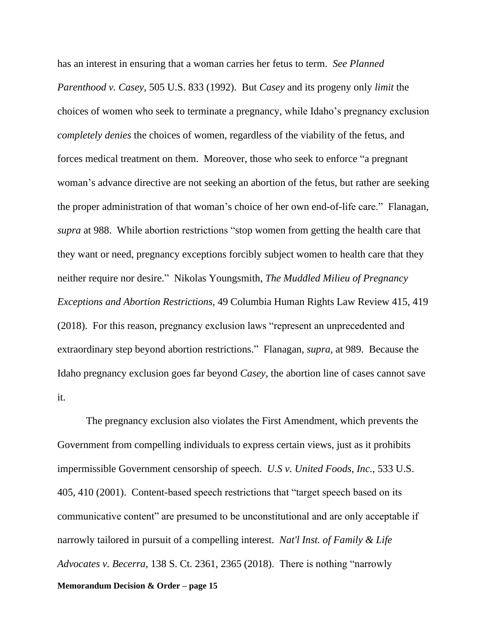has an interest in ensuring that a woman carries her fetus to term. *See Planned Parenthood v. Casey*, 505 U.S. 833 (1992). But *Casey* and its progeny only *limit* the choices of women who seek to terminate a pregnancy, while Idaho's pregnancy exclusion *completely denies* the choices of women, regardless of the viability of the fetus, and forces medical treatment on them. Moreover, those who seek to enforce "a pregnant woman's advance directive are not seeking an abortion of the fetus, but rather are seeking the proper administration of that woman's choice of her own end-of-life care." Flanagan, *supra* at 988. While abortion restrictions "stop women from getting the health care that they want or need, pregnancy exceptions forcibly subject women to health care that they neither require nor desire." Nikolas Youngsmith, *The Muddled Milieu of Pregnancy Exceptions and Abortion Restrictions*, 49 Columbia Human Rights Law Review 415, 419 (2018). For this reason, pregnancy exclusion laws "represent an unprecedented and extraordinary step beyond abortion restrictions." Flanagan, *supra,* at 989. Because the Idaho pregnancy exclusion goes far beyond *Casey,* the abortion line of cases cannot save it.

**Memorandum Decision & Order – page 15** The pregnancy exclusion also violates the First Amendment, which prevents the Government from compelling individuals to express certain views, just as it prohibits impermissible Government censorship of speech. *U.S v. United Foods, Inc.*, 533 U.S. 405, 410 (2001). Content-based speech restrictions that "target speech based on its communicative content" are presumed to be unconstitutional and are only acceptable if narrowly tailored in pursuit of a compelling interest. *Nat'l Inst. of Family & Life Advocates v. Becerra*, 138 S. Ct. 2361, 2365 (2018). There is nothing "narrowly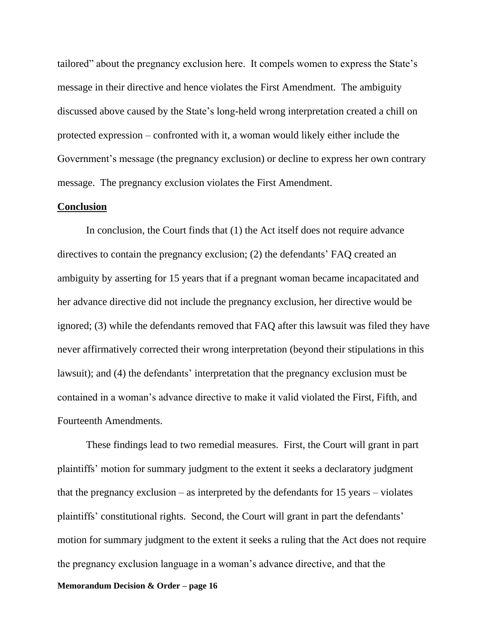tailored" about the pregnancy exclusion here. It compels women to express the State's message in their directive and hence violates the First Amendment. The ambiguity discussed above caused by the State's long-held wrong interpretation created a chill on protected expression – confronted with it, a woman would likely either include the Government's message (the pregnancy exclusion) or decline to express her own contrary message. The pregnancy exclusion violates the First Amendment.

#### **Conclusion**

In conclusion, the Court finds that (1) the Act itself does not require advance directives to contain the pregnancy exclusion; (2) the defendants' FAQ created an ambiguity by asserting for 15 years that if a pregnant woman became incapacitated and her advance directive did not include the pregnancy exclusion, her directive would be ignored; (3) while the defendants removed that FAQ after this lawsuit was filed they have never affirmatively corrected their wrong interpretation (beyond their stipulations in this lawsuit); and (4) the defendants' interpretation that the pregnancy exclusion must be contained in a woman's advance directive to make it valid violated the First, Fifth, and Fourteenth Amendments.

These findings lead to two remedial measures. First, the Court will grant in part plaintiffs' motion for summary judgment to the extent it seeks a declaratory judgment that the pregnancy exclusion – as interpreted by the defendants for 15 years – violates plaintiffs' constitutional rights. Second, the Court will grant in part the defendants' motion for summary judgment to the extent it seeks a ruling that the Act does not require the pregnancy exclusion language in a woman's advance directive, and that the

**Memorandum Decision & Order – page 16**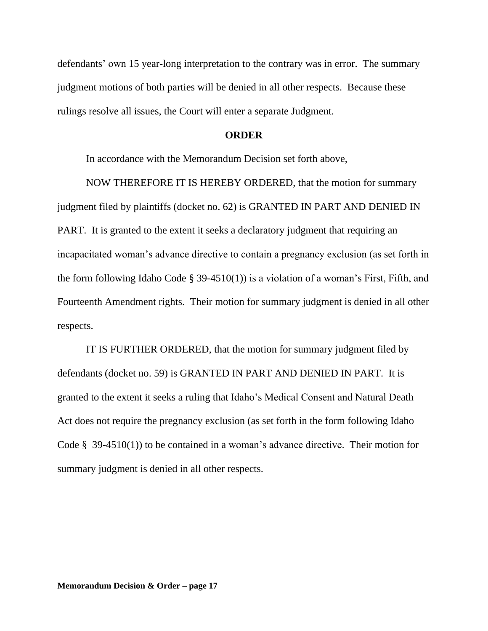defendants' own 15 year-long interpretation to the contrary was in error. The summary judgment motions of both parties will be denied in all other respects. Because these rulings resolve all issues, the Court will enter a separate Judgment.

## **ORDER**

In accordance with the Memorandum Decision set forth above,

NOW THEREFORE IT IS HEREBY ORDERED, that the motion for summary judgment filed by plaintiffs (docket no. 62) is GRANTED IN PART AND DENIED IN PART. It is granted to the extent it seeks a declaratory judgment that requiring an incapacitated woman's advance directive to contain a pregnancy exclusion (as set forth in the form following Idaho Code  $\S$  39-4510(1)) is a violation of a woman's First, Fifth, and Fourteenth Amendment rights. Their motion for summary judgment is denied in all other respects.

IT IS FURTHER ORDERED, that the motion for summary judgment filed by defendants (docket no. 59) is GRANTED IN PART AND DENIED IN PART. It is granted to the extent it seeks a ruling that Idaho's Medical Consent and Natural Death Act does not require the pregnancy exclusion (as set forth in the form following Idaho Code § 39-4510(1)) to be contained in a woman's advance directive. Their motion for summary judgment is denied in all other respects.